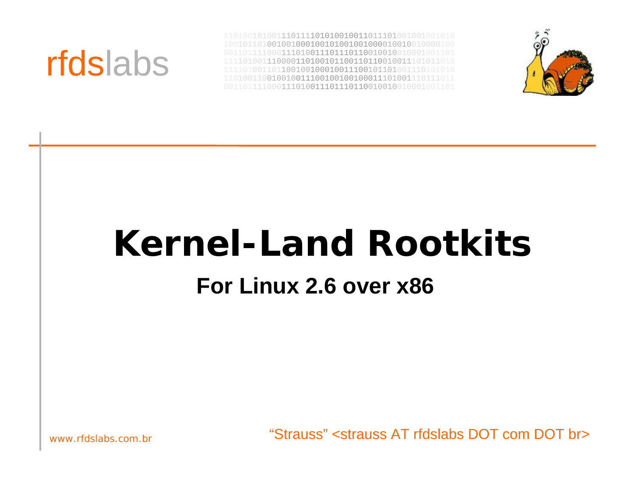



# **Kernel-Land RootkitsFor Linux 2.6 over x86**

"Strauss" <strauss AT rfdslabs DOT com DOT br>

www.rfdslabs.com.br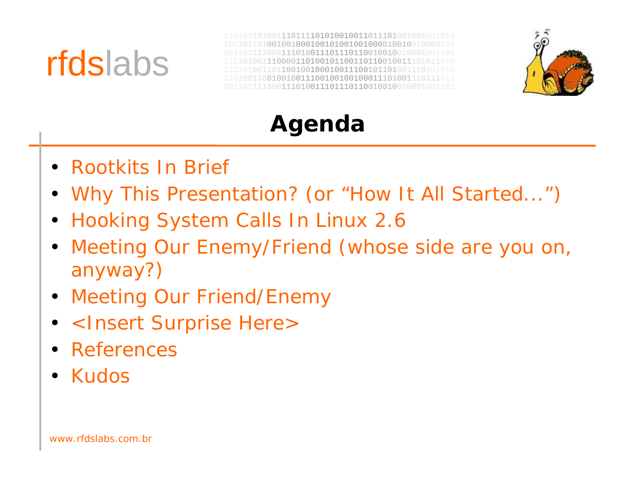



**Agenda**

- Rootkits In Brief
- Why This Presentation? (or "How It All Started...")
- Hooking System Calls In Linux 2.6
- Meeting Our Enemy/Friend (whose side are you on, anyway?)
- Meeting Our Friend/Enemy
- <Insert Surprise Here>
- •References
- Kudos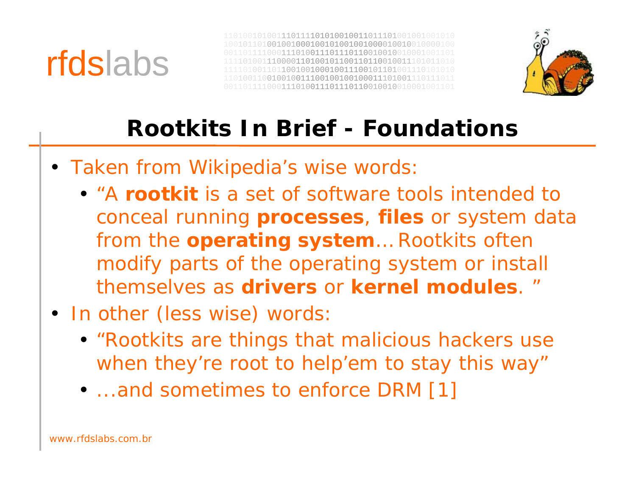



### **Rootkits In Brief - Foundations**

- Taken from Wikipedia's wise words
	- "A **rootkit** is a set of software tools intended to conceal running **processes**, **files** or system data from the **operating system**… Rootkits often modify parts of the operating system or install themselves as **drivers** or **kernel modules**. "
- In other (less wise) words:
	- "Rootkits are things that malicious hackers use when they're root to help'em to stay this way"
	- ...and sometimes to enforce DRM [1]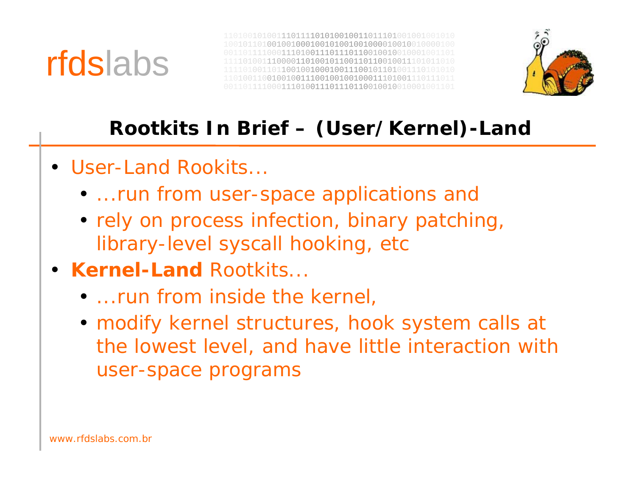



### **Rootkits In Brief – (User/Kernel)-Land**

- User-Land Rookits...
	- ...run from user-space applications and
	- rely on process infection, binary patching, library-level syscall hooking, etc
- **Kernel-Land** Rootkits...
	- ...run from inside the kernel
	- modify kernel structures, hook system calls at the lowest level, and have little interaction with user-space programs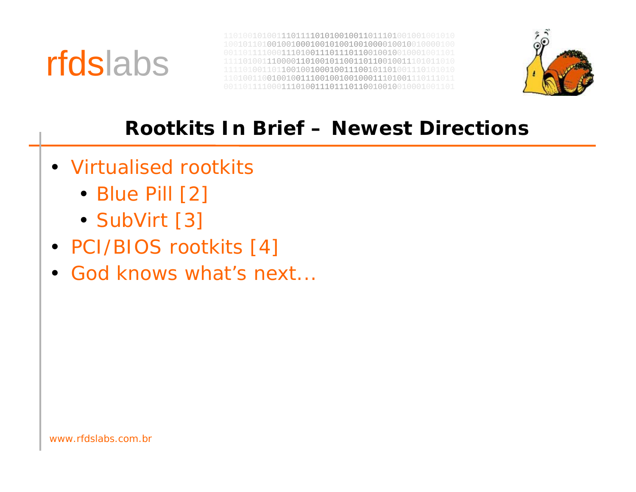



### **Rootkits In Brief – Newest Directions**

- Virtualised rootkits
	- Blue Pill [2]
	- SubVirt [3]
- PCI/BIOS rootkits [4]
- God knows what's next...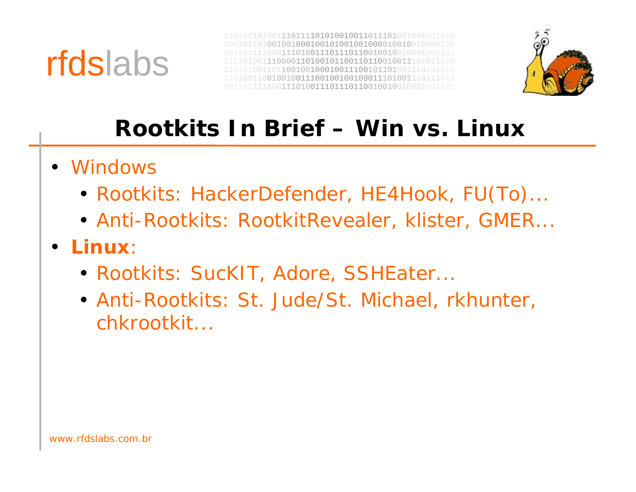



### **Rootkits In Brief – Win vs. Linux**

- Windows
	- Rootkits: HackerDefender, HE4Hook, FU(To)...
	- Anti-Rootkits: RootkitRevealer, klister, GMER...
- • **Linux**:
	- Rootkits: SucKIT, Adore, SSHEater...
	- Anti-Rootkits: St. Jude/St. Michael, rkhunter, chkrootkit...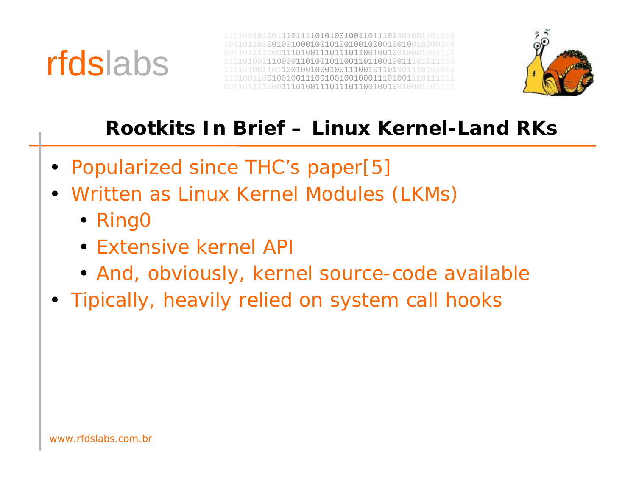



### **Rootkits In Brief – Linux Kernel-Land RKs**

- Popularized since THC's paper[5]
- Written as Linux Kernel Modules (LKMs)
	- Ring0
	- Extensive kernel AP
	- And, obviously, kernel source-code available
- Tipically, heavily relied on system call hooks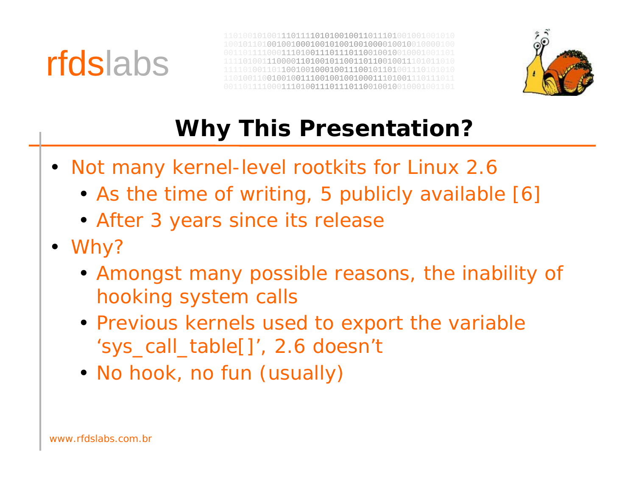





## **Why This Presentation?**

- Not many kernel-level rootkits for Linux 2.6
	- As the time of writing, 5 publicly available [6]
	- After 3 years since its release
- Why?
	- Amongst many possible reasons, the inability of hooking system calls
	- Previous kernels used to export the variable 'sys\_call\_table[]', 2.6 doesn't
	- No hook, no fun (usually)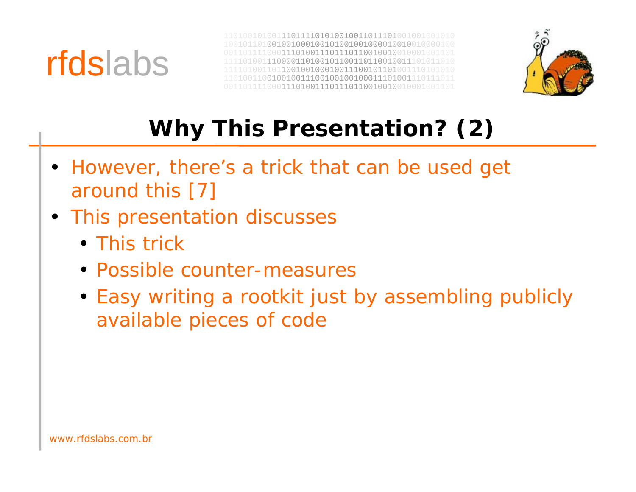



## **Why This Presentation? (2)**

- However, there's a trick that can be used get around this [7]
- This presentation discusses
	- This trick
	- Possible counter-measures
	- Easy writing a rootkit just by assembling publicly available pieces of code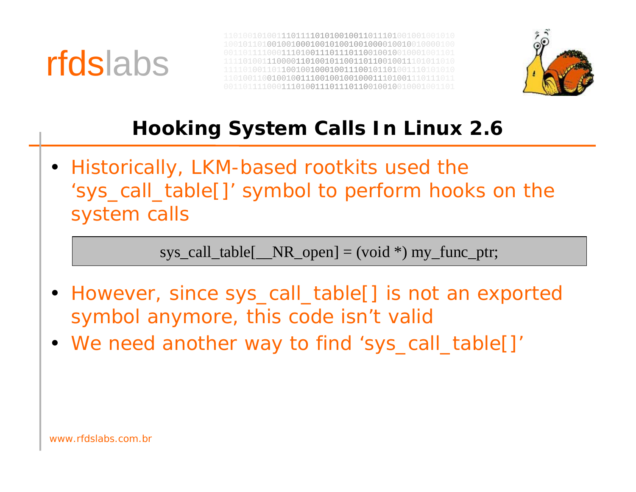



### **Hooking System Calls In Linux 2.6**

• Historically, LKM-based rootkits used the 'sys\_call\_table[]' symbol to perform hooks on the system calls

 $sys\_call\_table[$   $\_NR\_open]$  = (void \*) my\_func\_ptr;

- However, since sys\_call\_table[] is not an exported symbol anymore, this code isn't valid
- We need another way to find 'sys\_call\_table[]'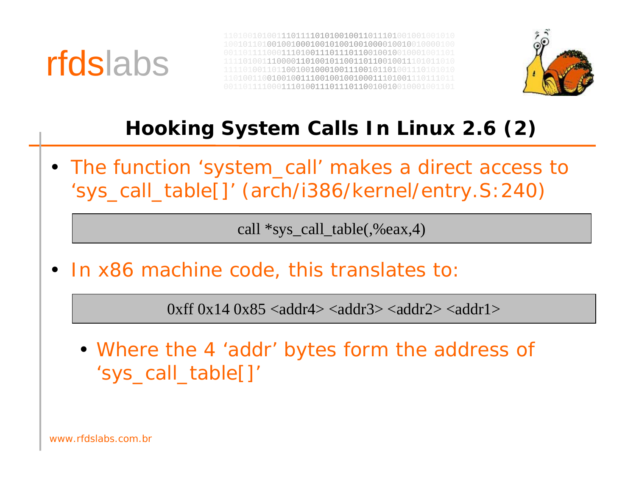



### **Hooking System Calls In Linux 2.6 (2)**

• The function 'system\_call' makes a direct access to 'sys\_call\_table[]' (arch/i386/kernel/entry.S:240)

call \*sys call table(,%eax,4)

•In x86 machine code, this translates to:

 $0$ xff  $0x14$   $0x85$  <addr4> <addr3> <addr2> <addr1>

• Where the 4 'addr' bytes form the address of 'sys\_call\_table[]'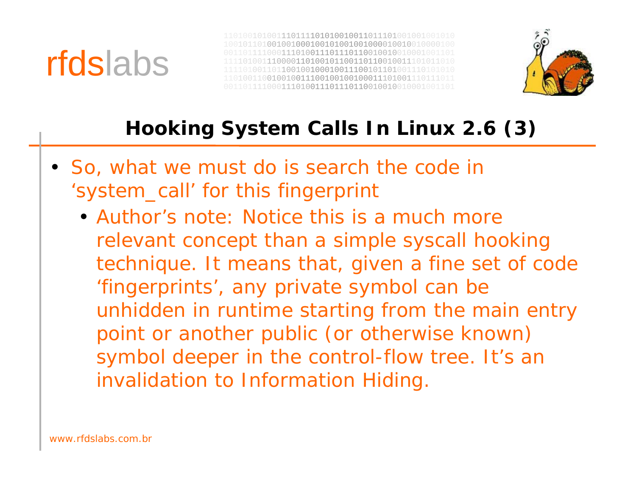



### **Hooking System Calls In Linux 2.6 (3)**

- So, what we must do is search the code in 'system\_call' for this fingerprint
	- Author's note: Notice this is a much more relevant concept than a simple syscall hooking technique. It means that, given a fine set of code 'fingerprints', any private symbol can be unhidden in runtime starting from the main entry point or another public (or otherwise known) symbol deeper in the control-flow tree. It's an invalidation to Information Hiding.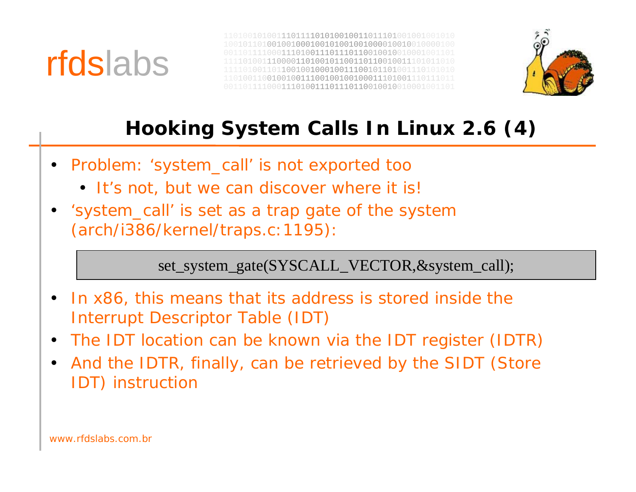



### **Hooking System Calls In Linux 2.6 (4)**

- Problem: 'system\_call' is not exported too
	- It's not, but we can discover where it is!
- 'system\_call' is set as a trap gate of the system (arch/i386/kernel/traps.c:1195):

set\_system\_gate(SYSCALL\_VECTOR,&system\_call);

- • In x86, this means that its address is stored inside the Interrupt Descriptor Table (IDT)
- •The IDT location can be known via the IDT register (IDTR)
- • And the IDTR, finally, can be retrieved by the SIDT (Store IDT) instruction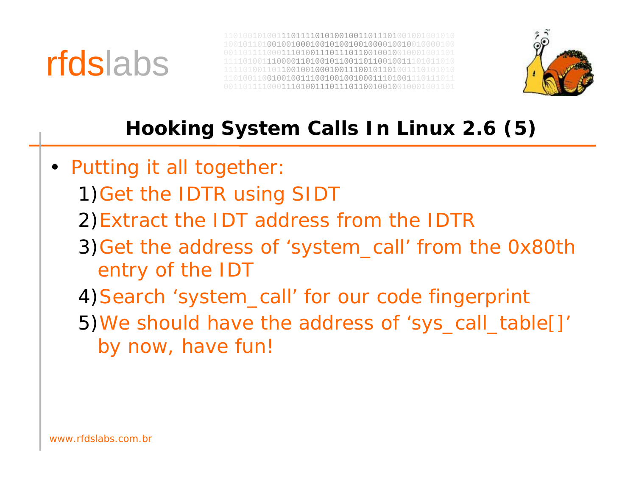



### **Hooking System Calls In Linux 2.6 (5)**

- Putting it all together
	- 1)Get the IDTR using SIDT
	- 2)Extract the IDT address from the IDTR
	- 3)Get the address of 'system\_call' from the 0x80th entry of the IDT
	- 4)Search 'system\_call' for our code fingerprint
	- 5)We should have the address of 'sys\_call\_table[]' by now, have fun!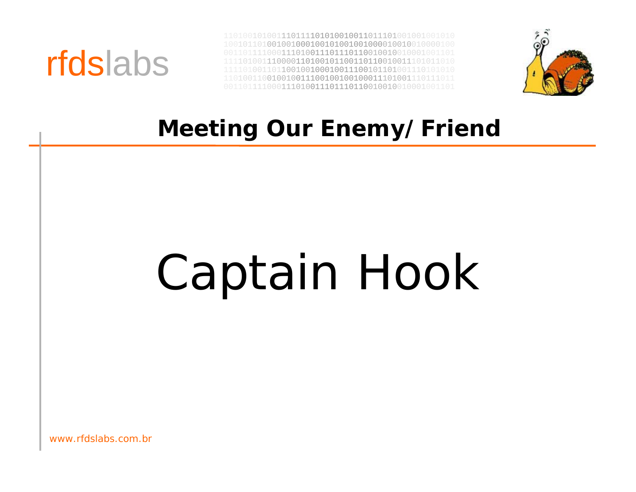



### **Meeting Our Enemy/Friend**

# Captain Hook

www.rfdslabs.com.br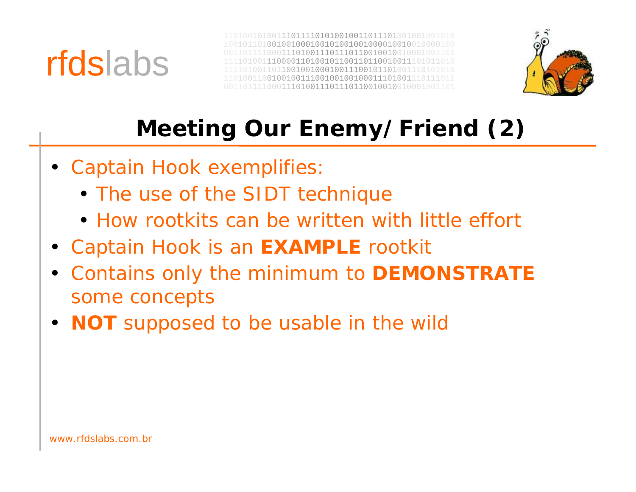



## **Meeting Our Enemy/Friend (2)**

- Captain Hook exemplifies
	- The use of the SIDT technique
	- How rootkits can be written with little effort
- Captain Hook is an **EXAMPLE** rootkit
- Contains only the minimum to **DEMONSTRATE** some concepts
- **NOT** supposed to be usable in the wild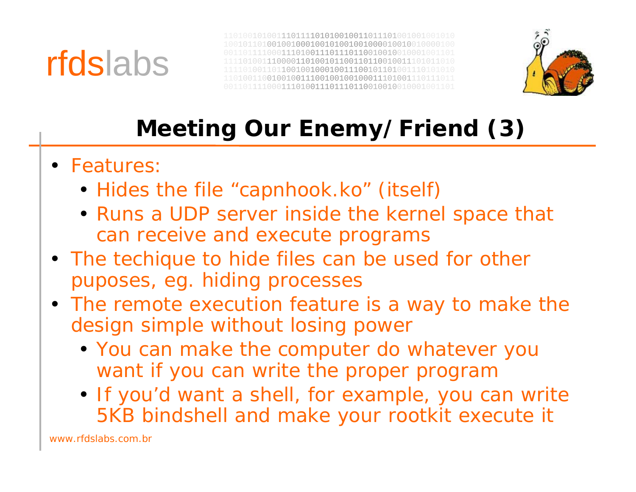



## **Meeting Our Enemy/Friend (3)**

- Features
	- Hides the file "capnhook.ko" (itself)
	- Runs a UDP server inside the kernel space that can receive and execute programs
- The techique to hide files can be used for other puposes, eg. hiding processes
- The remote execution feature is a way to make the design simple without losing power
	- You can make the computer do whatever you want if you can write the proper program
	- If you'd want a shell, for example, you can write 5KB bindshell and make your rootkit execute it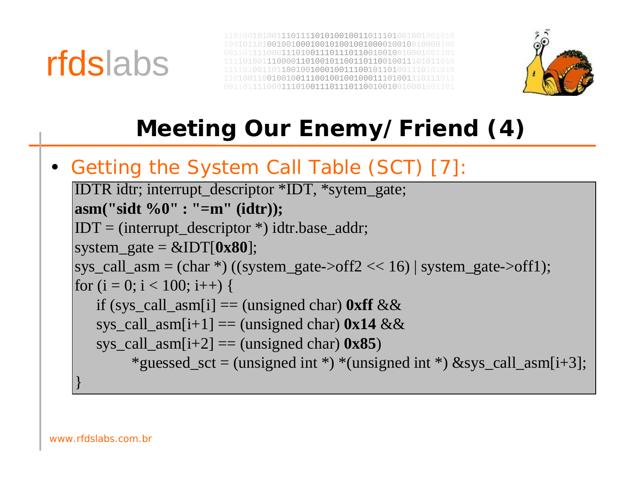



## **Meeting Our Enemy/Friend (4)**

• Getting the System Call Table (SCT) [7]:

```
IDTR idtr; interrupt_descriptor *IDT, *sytem_gate;
asm("sidt %0" : "=m" (idtr));
IDT = (interrupt_descriptor *) idtr.base_addr;
system_gate = &IDT[0x80];
sys_call_asm = (char *) ((system_gate->off2 << 16) | system_gate->off1);
for (i = 0; i < 100; i++) {
   if (sys_call_asm[i] = (unsigned char) 0xff &&
   sys_call_asm[i+1] == (unsigned char) 0x14 \&&sys_call_asm[i+2] == (unsigned char) 0x85)
        *guessed_sct = (unsigned int *) *(unsigned int *) &sys_call_asm[i+3];
}
```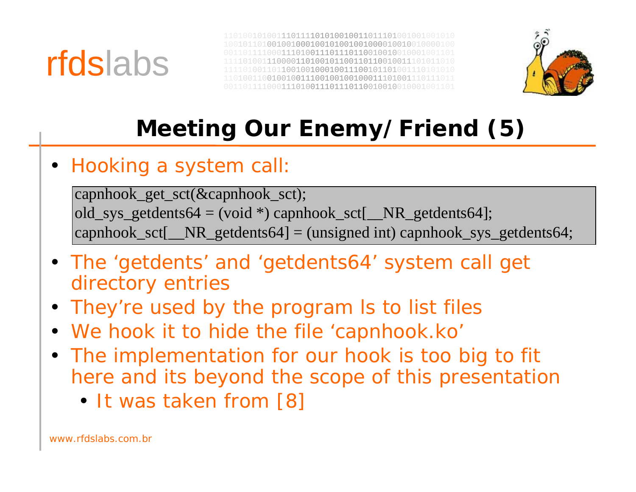



## **Meeting Our Enemy/Friend (5)**

#### • Hooking a system call

capnhook\_get\_sct(&capnhook\_sct); old\_sys\_getdents64 = (void  $*$ ) capnhook\_sct[\_NR\_getdents64]; capnhook\_sct[\_NR\_getdents64] = (unsigned int) capnhook\_sys\_getdents64;

- The 'getdents' and 'getdents64' system call get directory entries
- They're used by the program ls to list files
- We hook it to hide the file 'capnhook.ko'
- The implementation for our hook is too big to fit here and its beyond the scope of this presentation
	- It was taken from [8]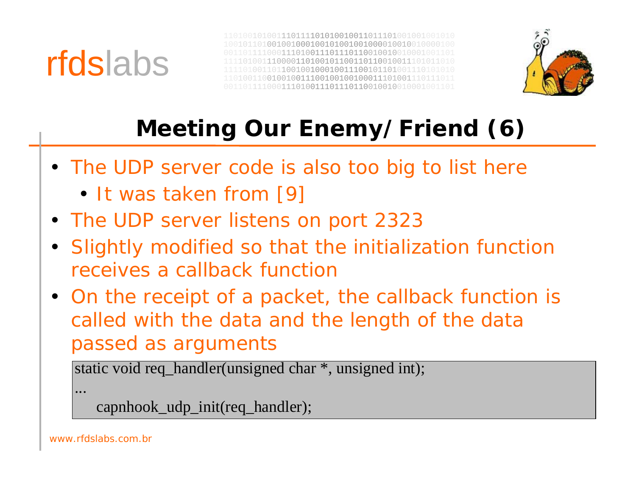



## **Meeting Our Enemy/Friend (6)**

- The UDP server code is also too big to list here
	- It was taken from [9]
- The UDP server listens on port 2323
- Slightly modified so that the initialization function receives a callback function
- On the receipt of a packet, the callback function is called with the data and the length of the data passed as arguments

```
static void req_handler(unsigned char *, unsigned int);
```
...

```
capnhook_udp_init(req_handler);
```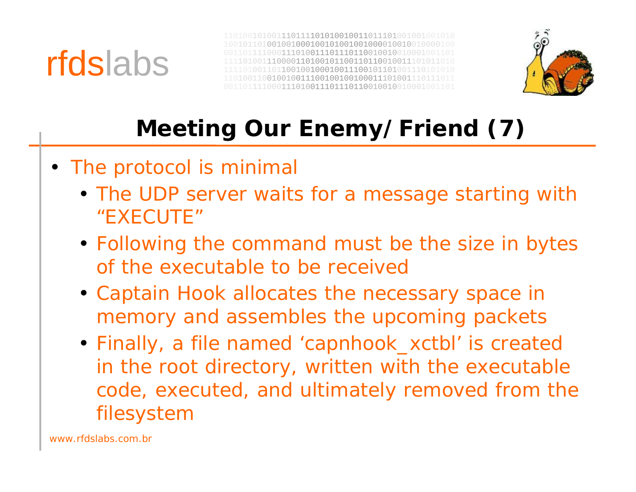



## **Meeting Our Enemy/Friend (7)**

- The protocol is minimal
	- The UDP server waits for a message starting with "EXECUTE"
	- Following the command must be the size in bytes of the executable to be received
	- Captain Hook allocates the necessary space in memory and assembles the upcoming packets
	- Finally, a file named 'capnhook\_xctbl' is created in the root directory, written with the executable code, executed, and ultimately removed from the filesystem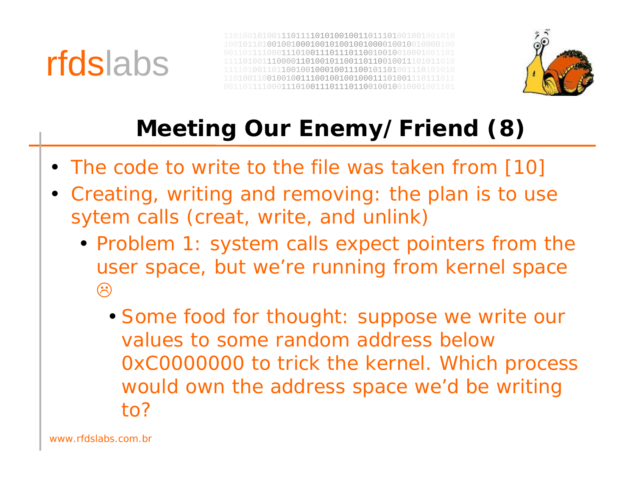



## **Meeting Our Enemy/Friend (8)**

- The code to write to the file was taken from [10]
- Creating, writing and removing: the plan is to use sytem calls (creat, write, and unlink)
	- Problem 1: system calls expect pointers from the user space, but we're running from kernel space  $\odot$ 
		- Some food for thought: suppose we write our values to some random address below0xC0000000 to trick the kernel. Which process would own the address space we'd be writing to?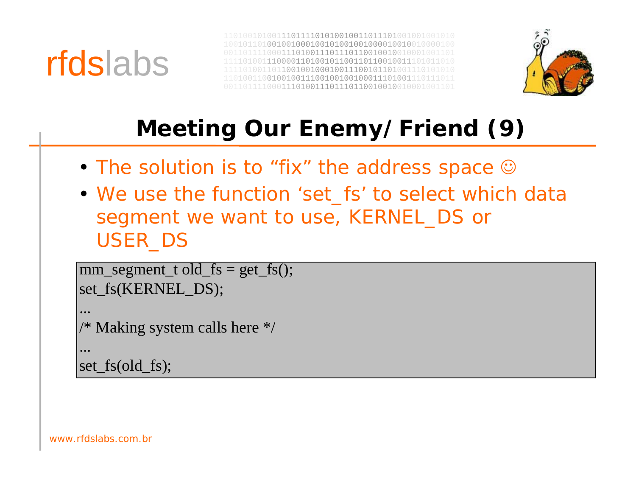



## **Meeting Our Enemy/Friend (9)**

- The solution is to "fix" the address space  $\odot$
- We use the function 'set\_fs' to select which data segment we want to use, KERNEL\_DS or USER\_DS

```
mm\_segment\_t old_fs = get_fs();
set_fs(KERNEL_DS);
```

```
/* Making system calls here */
```

```
...set_fs(old_fs);
```
...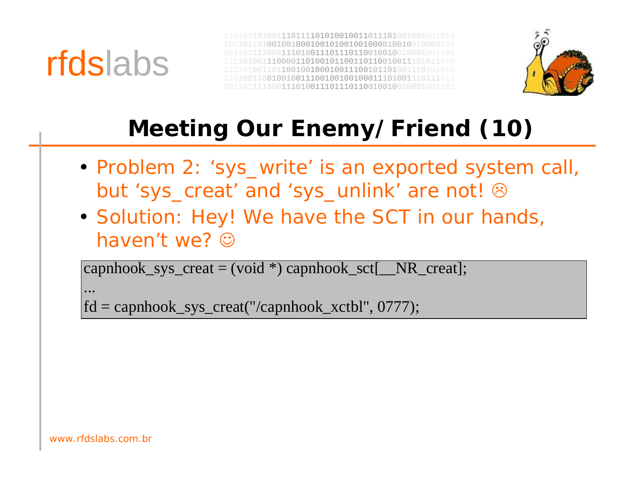



## **Meeting Our Enemy/Friend (10)**

- Problem 2: 'sys\_write' is an exported system call, but 'sys\_creat' and 'sys\_unlink' are not!  $\odot$
- Solution: Hey! We have the SCT in our hands, haven't we? ☺

 $\text{capnbook\_sys\_create} = (\text{void}^*) \text{capnbook\_sct}$   $\text{NR\_creat}$ ;

...

fd = capnhook\_sys\_creat("/capnhook\_xctbl", 0777);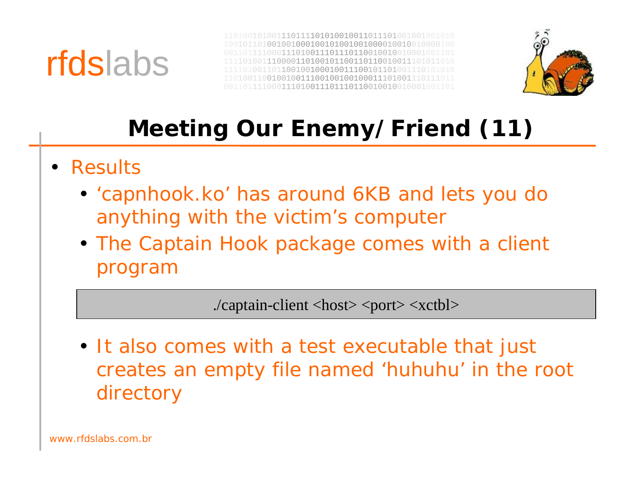



## **Meeting Our Enemy/Friend (11)**

- Results
	- 'capnhook.ko' has around 6KB and lets you do anything with the victim's computer
	- The Captain Hook package comes with a client program

./captain-client <host> <port> <xctbl>

• It also comes with a test executable that just creates an empty file named 'huhuhu' in the root directory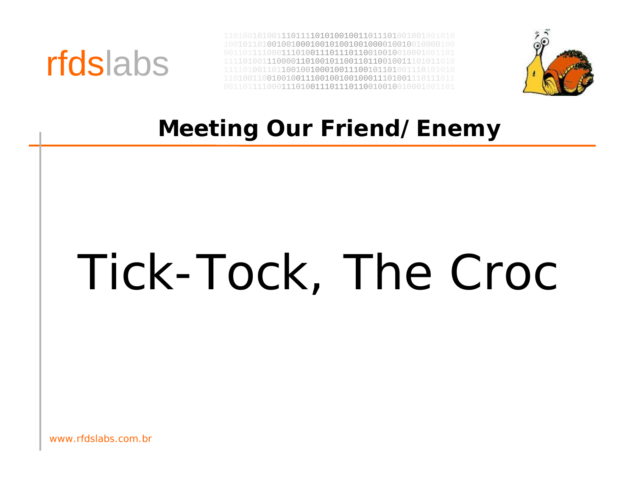



### **Meeting Our Friend/Enemy**

# Tick-Tock, The Croc

www.rfdslabs.com.br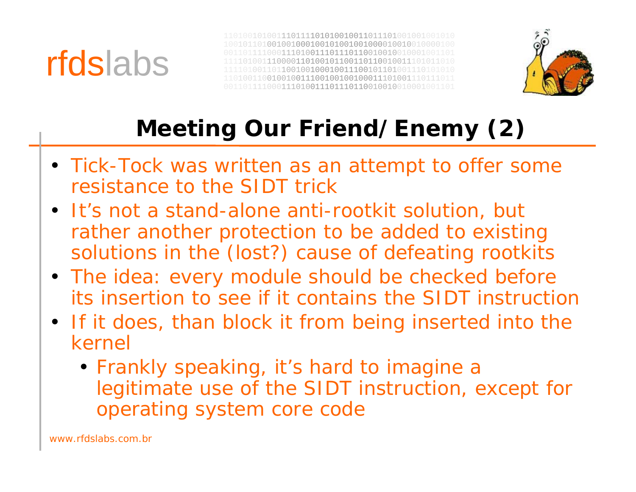



## **Meeting Our Friend/Enemy (2)**

- Tick-Tock was written as an attempt to offer some resistance to the SIDT trick
- It's not a stand-alone anti-rootkit solution, but rather another protection to be added to existing solutions in the (lost?) cause of defeating rootkits
- The idea: every module should be checked before its insertion to see if it contains the SIDT instruction
- If it does, than block it from being inserted into the kernel
	- Frankly speaking, it's hard to imagine a legitimate use of the SIDT instruction, except for operating system core code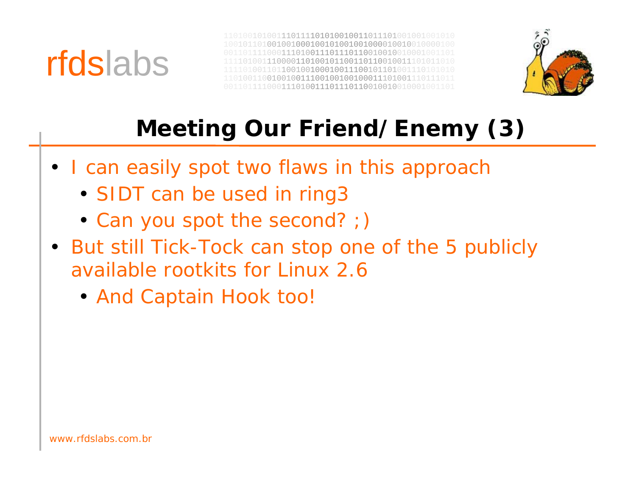



## **Meeting Our Friend/Enemy (3)**

- I can easily spot two flaws in this approach
	- SIDT can be used in ring3
	- Can you spot the second? ;)
- But still Tick-Tock can stop one of the 5 publicly available rootkits for Linux 2.6
	- And Captain Hook too!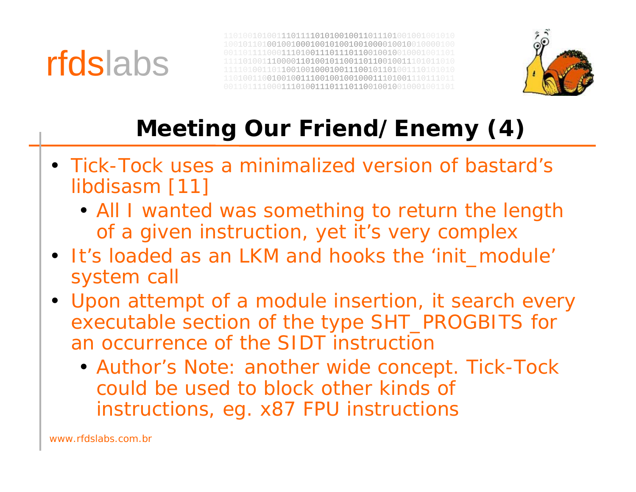



## **Meeting Our Friend/Enemy (4)**

- Tick-Tock uses a minimalized version of bastard's libdisasm [11]
	- All I wanted was something to return the length of a given instruction, yet it's very complex
- It's loaded as an LKM and hooks the 'init\_module' system call
- Upon attempt of a module insertion, it search every executable section of the type SHT\_PROGBITS for an occurrence of the SIDT instruction
	- Author's Note: another wide concept. Tick-Tock could be used to block other kinds of instructions, eg. x87 FPU instructions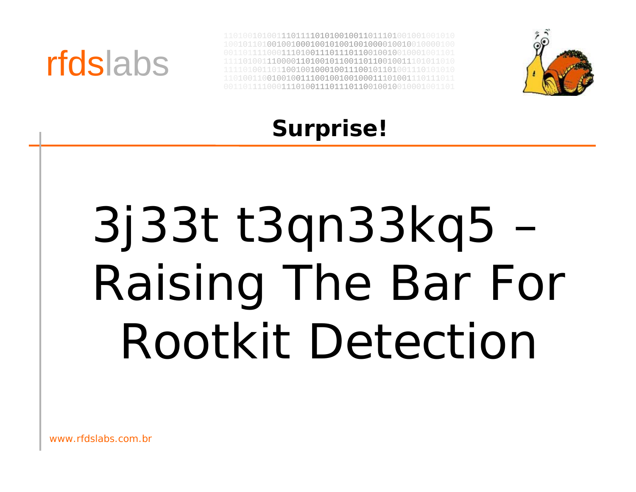



### **Surprise!**

# 3j33t t3qn33kq5 – Raising The Bar For Rootkit Detection

www.rfdslabs.com.br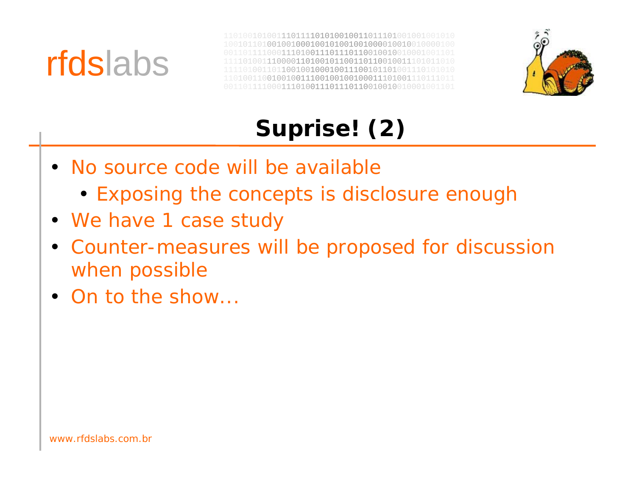



## **Suprise! (2)**

- No source code will be available
	- Exposing the concepts is disclosure enough
- We have 1 case study
- Counter-measures will be proposed for discussion when possible
- On to the show...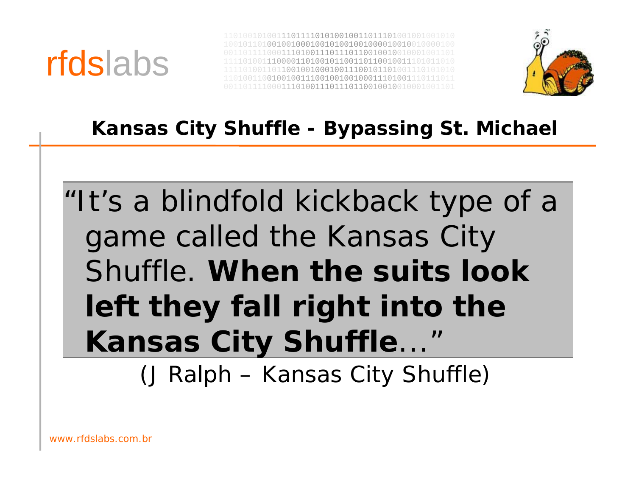![](_page_31_Picture_0.jpeg)

![](_page_31_Picture_2.jpeg)

#### **Kansas City Shuffle - Bypassing St. Michael**

## "It's a blindfold kickback type of a game called the Kansas City Shuffle. **When the suits look left they fall right into the Kansas City Shuffle**..."

(J Ralph – Kansas City Shuffle)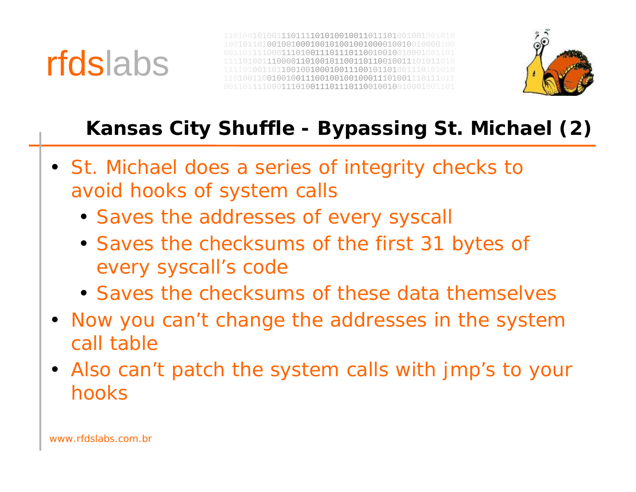![](_page_32_Picture_0.jpeg)

![](_page_32_Picture_2.jpeg)

### **Kansas City Shuffle - Bypassing St. Michael (2)**

- St. Michael does a series of integrity checks to avoid hooks of system calls
	- Saves the addresses of every syscall
	- Saves the checksums of the first 31 bytes of every syscall's code
	- Saves the checksums of these data themselves
- Now you can't change the addresses in the system call table
- Also can't patch the system calls with jmp's to your hooks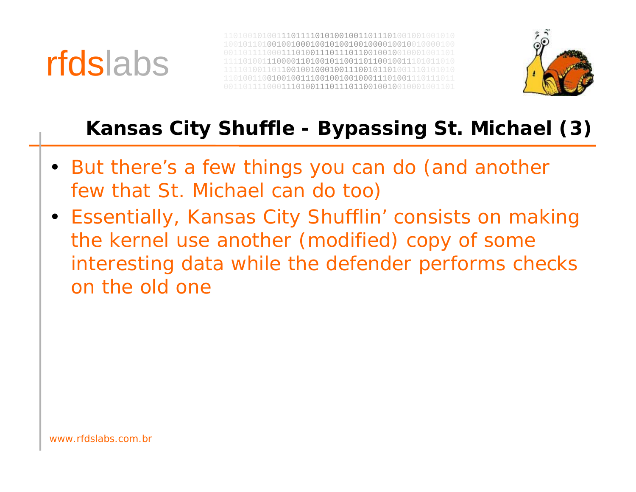![](_page_33_Picture_0.jpeg)

![](_page_33_Picture_2.jpeg)

### **Kansas City Shuffle - Bypassing St. Michael (3)**

- But there's a few things you can do (and another few that St. Michael can do too)
- Essentially, Kansas City Shufflin' consists on making the kernel use another (modified) copy of some interesting data while the defender performs checks on the old one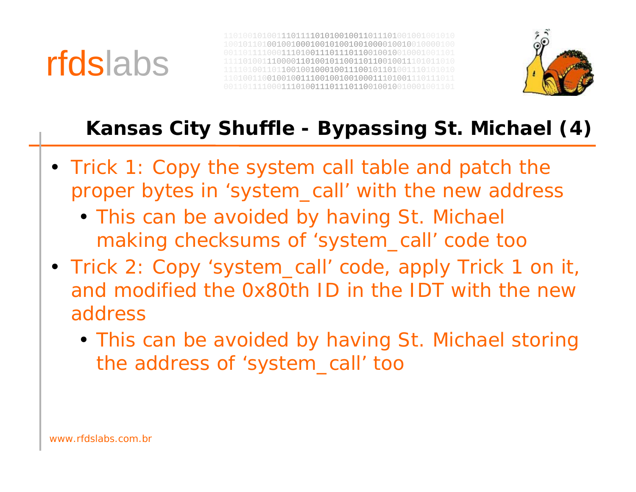![](_page_34_Picture_0.jpeg)

![](_page_34_Picture_2.jpeg)

### **Kansas City Shuffle - Bypassing St. Michael (4)**

- Trick 1: Copy the system call table and patch the proper bytes in 'system\_call' with the new address
	- This can be avoided by having St. Michael making checksums of 'system\_call' code too
- Trick 2: Copy 'system\_call' code, apply Trick 1 on it, and modified the 0x80th ID in the IDT with the newaddress
	- This can be avoided by having St. Michael storing the address of 'system\_call' too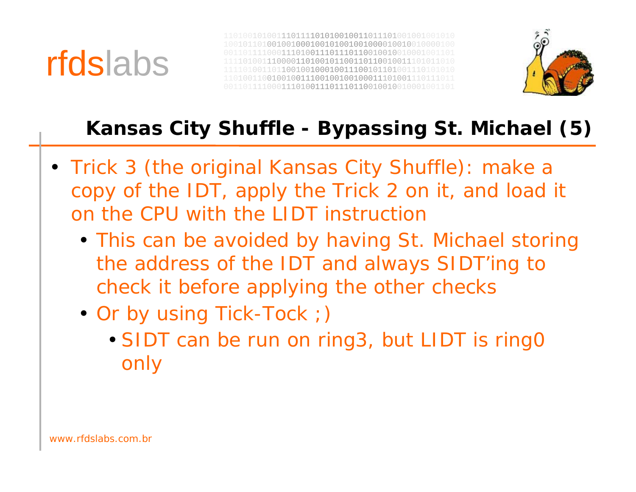![](_page_35_Picture_0.jpeg)

![](_page_35_Picture_2.jpeg)

### **Kansas City Shuffle - Bypassing St. Michael (5)**

- Trick 3 (the original Kansas City Shuffle): make <sup>a</sup> copy of the IDT, apply the Trick 2 on it, and load it on the CPU with the LIDT instruction
	- This can be avoided by having St. Michael storing the address of the IDT and always SIDT'ing to check it before applying the other checks
	- Or by using Tick-Tock ;)
		- SIDT can be run on ring3, but LIDT is ring0 only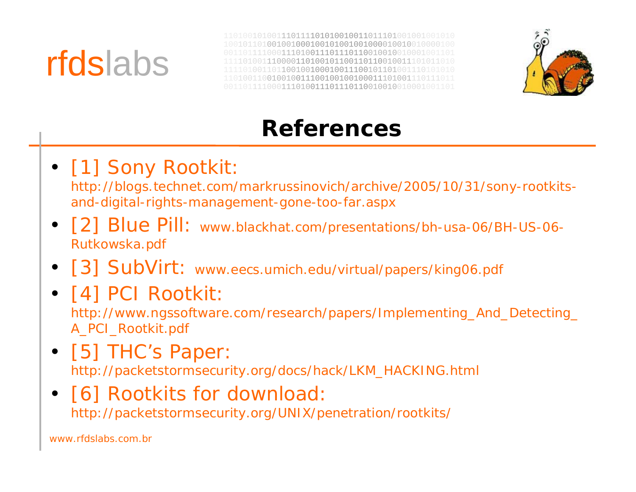# rfdslabs

0100111011110101001001101110100100100 00100100010010010010000010001001 0011101110111001001010 1100001101001011001101100100111010 110010010001001110010110100111 1101001100100100111001001001000111010011101110110011110001110011011101100100100100010100100100010

![](_page_36_Picture_2.jpeg)

### **References**

### • [1] Sony Rootkit:

http://blogs.technet.com/markrussinovich/archive/2005/10/31/sony-rootkitsand-digital-rights-management-gone-too-far.aspx

- [2] Blue Pill: www.blackhat.com/presentations/bh-usa-06/BH-US-06- Rutkowska.pdf
- [3] SubVirt: www.eecs.umich.edu/virtual/papers/king06.pdf

### • [4] PCI Rootkit:

http://www.ngssoftware.com/research/papers/Implementing\_And\_Detecting\_ A\_PCI\_Rootkit.pdf

• [5] THC's Paper: http://packetstormsecurity.org/docs/hack/LKM\_HACKING.html

#### • [6] Rootkits for download: http://packetstormsecurity.org/UNIX/penetration/rootkits/

www.rfdslabs.com.br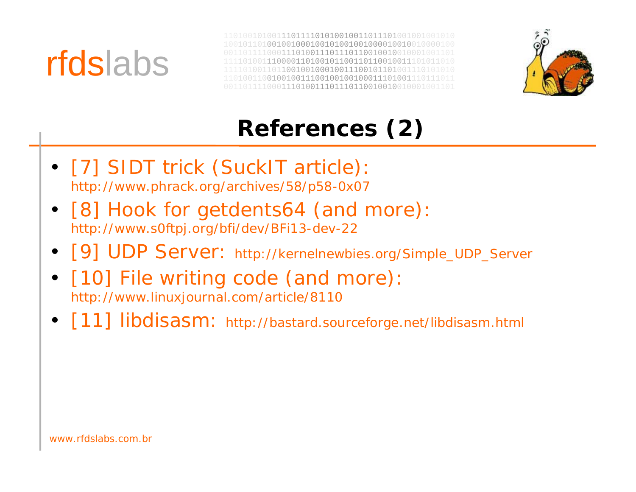![](_page_37_Picture_0.jpeg)

![](_page_37_Picture_2.jpeg)

## **References (2)**

- [7] SIDT trick (SuckIT article): http://www.phrack.org/archives/58/p58-0x07
- [8] Hook for getdents64 (and more): http://www.s0ftpj.org/bfi/dev/BFi13-dev-22
- [9] UDP Server: http://kernelnewbies.org/Simple\_UDP\_Server
- [10] File writing code (and more): http://www.linuxjournal.com/article/8110
- [11] libdisasm: http://bastard.sourceforge.net/libdisasm.html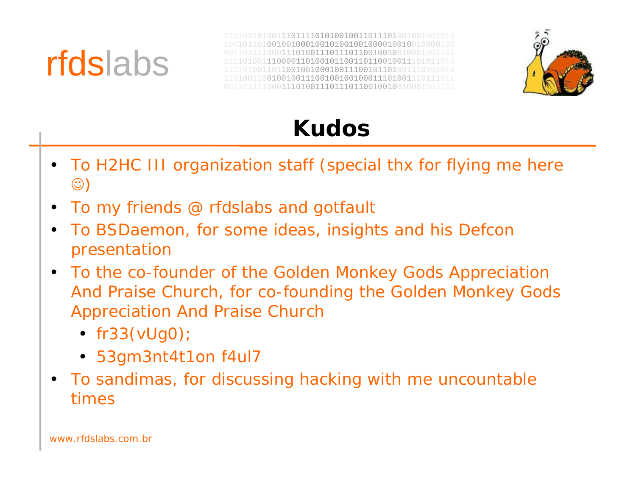![](_page_38_Picture_0.jpeg)

![](_page_38_Picture_2.jpeg)

### **Kudos**

- To H2HC III organization staff (special thx for flying me here  $\circledcirc$
- •To my friends @ rfdslabs and gotfault
- $\bullet$  To BSDaemon, for some ideas, insights and his Defcon presentation
- To the co-founder of the Golden Monkey Gods Appreciation And Praise Church, for co-founding the Golden Monkey Gods Appreciation And Praise Church
	- fr33(vUg0);
	- 53gm3nt4t1on f4ul7
- To sandimas, for discussing hacking with me uncountable times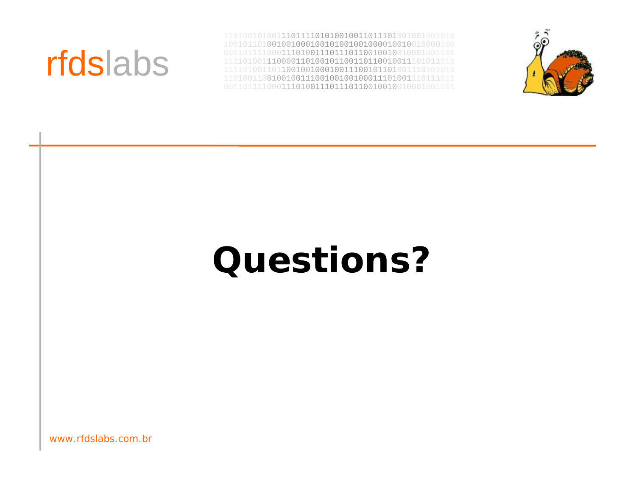## rfdslabs

 

![](_page_39_Picture_2.jpeg)

# **Questions?**

www.rfdslabs.com.br